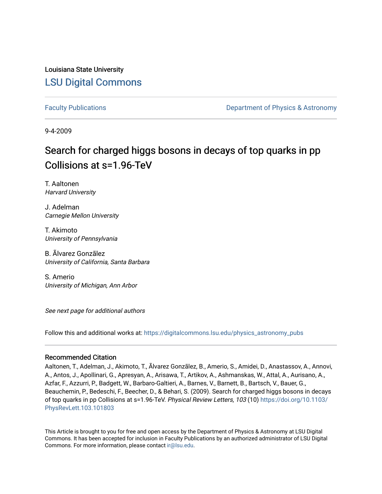Louisiana State University [LSU Digital Commons](https://digitalcommons.lsu.edu/)

[Faculty Publications](https://digitalcommons.lsu.edu/physics_astronomy_pubs) **Example 2** Constant Department of Physics & Astronomy

9-4-2009

## Search for charged higgs bosons in decays of top quarks in pp Collisions at s=1.96-TeV

T. Aaltonen Harvard University

J. Adelman Carnegie Mellon University

T. Akimoto University of Pennsylvania

B. Ãlvarez Gonzãlez University of California, Santa Barbara

S. Amerio University of Michigan, Ann Arbor

See next page for additional authors

Follow this and additional works at: [https://digitalcommons.lsu.edu/physics\\_astronomy\\_pubs](https://digitalcommons.lsu.edu/physics_astronomy_pubs?utm_source=digitalcommons.lsu.edu%2Fphysics_astronomy_pubs%2F2435&utm_medium=PDF&utm_campaign=PDFCoverPages) 

### Recommended Citation

Aaltonen, T., Adelman, J., Akimoto, T., Ãlvarez Gonzãlez, B., Amerio, S., Amidei, D., Anastassov, A., Annovi, A., Antos, J., Apollinari, G., Apresyan, A., Arisawa, T., Artikov, A., Ashmanskas, W., Attal, A., Aurisano, A., Azfar, F., Azzurri, P., Badgett, W., Barbaro-Galtieri, A., Barnes, V., Barnett, B., Bartsch, V., Bauer, G., Beauchemin, P., Bedeschi, F., Beecher, D., & Behari, S. (2009). Search for charged higgs bosons in decays of top quarks in pp Collisions at s=1.96-TeV. Physical Review Letters, 103 (10) [https://doi.org/10.1103/](https://doi.org/10.1103/PhysRevLett.103.101803) [PhysRevLett.103.101803](https://doi.org/10.1103/PhysRevLett.103.101803) 

This Article is brought to you for free and open access by the Department of Physics & Astronomy at LSU Digital Commons. It has been accepted for inclusion in Faculty Publications by an authorized administrator of LSU Digital Commons. For more information, please contact [ir@lsu.edu](mailto:ir@lsu.edu).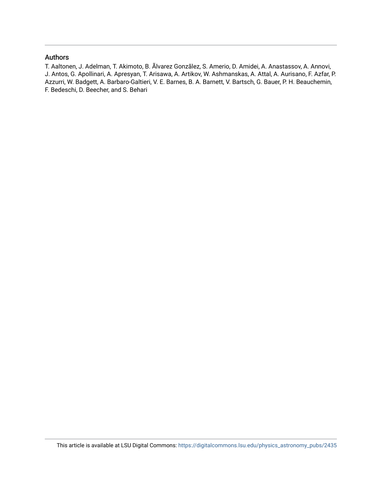## Authors

T. Aaltonen, J. Adelman, T. Akimoto, B. Ãlvarez Gonzãlez, S. Amerio, D. Amidei, A. Anastassov, A. Annovi, J. Antos, G. Apollinari, A. Apresyan, T. Arisawa, A. Artikov, W. Ashmanskas, A. Attal, A. Aurisano, F. Azfar, P. Azzurri, W. Badgett, A. Barbaro-Galtieri, V. E. Barnes, B. A. Barnett, V. Bartsch, G. Bauer, P. H. Beauchemin, F. Bedeschi, D. Beecher, and S. Behari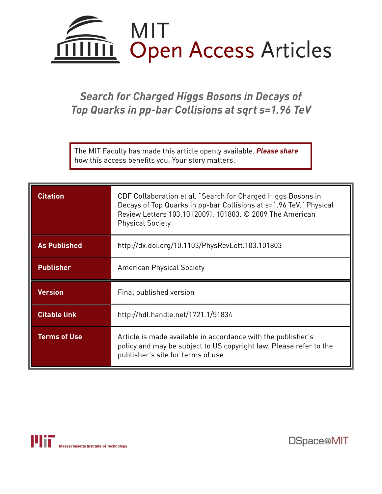

*Search for Charged Higgs Bosons in Decays of Top Quarks in pp-bar Collisions at sqrt s=1.96 TeV*

The MIT Faculty has made this article openly available. *[Please](https://libraries.mit.edu/forms/dspace-oa-articles.html) share* how this access benefits you. Your story matters.

| <b>Citation</b>     | CDF Collaboration et al. "Search for Charged Higgs Bosons in<br>Decays of Top Quarks in pp-bar Collisions at s=1.96 TeV." Physical<br>Review Letters 103.10 (2009): 101803. © 2009 The American<br><b>Physical Society</b> |  |  |  |  |  |
|---------------------|----------------------------------------------------------------------------------------------------------------------------------------------------------------------------------------------------------------------------|--|--|--|--|--|
| <b>As Published</b> | http://dx.doi.org/10.1103/PhysRevLett.103.101803                                                                                                                                                                           |  |  |  |  |  |
| <b>Publisher</b>    | <b>American Physical Society</b>                                                                                                                                                                                           |  |  |  |  |  |
| <b>Version</b>      | Final published version                                                                                                                                                                                                    |  |  |  |  |  |
| <b>Citable link</b> | http://hdl.handle.net/1721.1/51834                                                                                                                                                                                         |  |  |  |  |  |
| <b>Terms of Use</b> | Article is made available in accordance with the publisher's<br>policy and may be subject to US copyright law. Please refer to the<br>publisher's site for terms of use.                                                   |  |  |  |  |  |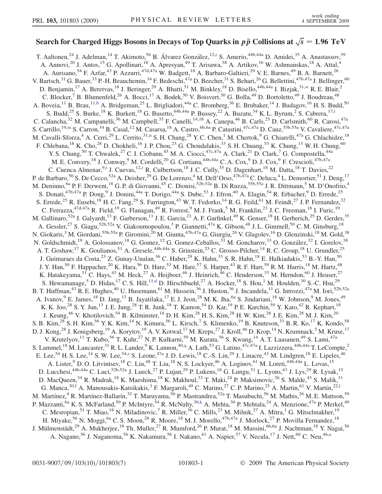# Search for Charged Higgs Bosons in Decays of Top Quarks in  $p \, \bar{p}$  Collisions at  $\sqrt{s} = 1.96 \,\, \mathrm{TeV}$

<span id="page-3-10"></span><span id="page-3-9"></span><span id="page-3-8"></span><span id="page-3-7"></span><span id="page-3-6"></span><span id="page-3-5"></span><span id="page-3-4"></span><span id="page-3-3"></span><span id="page-3-2"></span><span id="page-3-1"></span><span id="page-3-0"></span>T. Aaltonen,<sup>24</sup> J. Adelman,<sup>14</sup> T. Akimoto,<sup>56</sup> B. Álva[r](#page-9-0)ez González,<sup>12,r</sup> S. Amerio,<sup>44b,44a</sup> D. Amidei,<sup>35</sup> A. Anastassov,<sup>39</sup> A. Annovi,<sup>20</sup> J. Antos,<sup>15</sup> G. Apollinari,<sup>18</sup> A. Apresyan,<sup>49</sup> T. Arisawa,<sup>58</sup> A. Artikov,<sup>16</sup> W. Ashmanskas,<sup>18</sup> A. Attal,<sup>4</sup> A. Aurisano,<sup>54</sup> F. Azfar,<sup>43</sup> P. Azzurri,<sup>47d,47a</sup> W. Badgett,<sup>18</sup> A. Barbaro-Galtieri,<sup>29</sup> V. E. Barnes,<sup>49</sup> B. A. Barnett,<sup>26</sup> V. Bartsch,<sup>31</sup> G. Bauer,<sup>33</sup> P.-H. Beauchemin,<sup>34</sup> F. Bedeschi,<sup>47a</sup> D. Beecher,<sup>31</sup> S. Behari,<sup>26</sup> G. Bellettini,<sup>47b,47a</sup> J. Bellinger,<sup>60</sup> D. Benjamin,<sup>17</sup> A. Beretvas,<sup>18</sup> J. Beringer,<sup>29</sup> A. Bhatti,<sup>51</sup> M. Binkley,<sup>18</sup> D. Bisello,<sup>44b,44a</sup> I. Bizjak,<sup>31[,w](#page-9-1)</sup> R. E. Blair,<sup>2</sup> C. Blocker,<sup>7</sup> B. Blumenfeld,<sup>26</sup> A. Bocci,<sup>17</sup> A. Bodek,<sup>50</sup> V. Boisvert,<sup>50</sup> G. Bolla,<sup>49</sup> D. Bortoletto,<sup>49</sup> J. Boudreau,<sup>48</sup> A. Boveia,<sup>11</sup> B. Brau,<sup>11[,b](#page-9-2)</sup> A. Bridgeman,<sup>25</sup> L. Brigliadori,<sup>44a</sup> C. Bromberg,<sup>36</sup> E. Brubaker,<sup>14</sup> J. Budagov,<sup>16</sup> H. S. Budd,<sup>50</sup> S. Budd,<sup>25</sup> S. Burke,<sup>18</sup> K. Burke[t](#page-9-3)t,<sup>18</sup> G. Busetto,<sup>44b,44a</sup> P. Bussey,<sup>22</sup> A. Buzatu,<sup>34</sup> K. L. Byrum,<sup>2</sup> S. Cabrera,<sup>17,t</sup> C. Calancha,<sup>32</sup> M. Campanelli,<sup>36</sup> M. Campbell,<sup>35</sup> F. Canelli,<sup>14,18</sup> A. Canepa,<sup>46</sup> B. Carls,<sup>25</sup> D. Carlsmith,<sup>60</sup> R. Carosi,<sup>47a</sup> S. Carrillo,<sup>19,[m](#page-9-4)</sup> S. Carron,<sup>34</sup> B. Casal,<sup>12</sup> M. Casarsa,<sup>18</sup> A. Castro,<sup>6b,6a</sup> P. Catastini,<sup>47c,47a</sup> D. Cauz,<sup>55b,55a</sup> V. Cavaliere,<sup>47c,47a</sup> M. Cavalli-Sforza,<sup>4</sup> A. Cerri,<sup>29</sup> L. Cerrito,<sup>31[,n](#page-9-5)</sup> S. H. Chang,<sup>28</sup> Y. C. Chen,<sup>1</sup> M. Chertok,<sup>9</sup> G. Chiarelli,<sup>47a</sup> G. Chlachidze,<sup>18</sup> F. Chlebana,<sup>18</sup> K. Cho,<sup>28</sup> D. Chokheli,<sup>16</sup> J. P. Chou,<sup>23</sup> G. Choudalakis,<sup>33</sup> S. H. Chuang,<sup>53</sup> K. Chung,<sup>13</sup> W. H. Chung,<sup>60</sup> Y. S. Chung,<sup>50</sup> T. Chwalek,<sup>27</sup> C. I. Ciobanu,<sup>45</sup> M. A. Ciocci,<sup>47c,47a</sup> A. Clark,<sup>21</sup> D. Clark,<sup>7</sup> G. Compostella,<sup>44a</sup> M. E. Convery, <sup>18</sup> J. Conway, <sup>9</sup> M. Cordelli, <sup>20</sup> G. Cortiana, <sup>44b, 44a</sup> C. A. Cox, <sup>9</sup> D. J. Cox, <sup>9</sup> F. Crescioli, <sup>47b, 47a</sup> C. Cuenca Almenar, <sup>9,[t](#page-9-3)</sup> J. Cuevas, <sup>12[,r](#page-9-0)</sup> R. Culbertson,<sup>18</sup> J. C. Cully,<sup>35</sup> D. Dagenhart, <sup>18</sup> M. Datta, <sup>18</sup> T. Davies, <sup>22</sup> P. de Barbaro,<sup>50</sup> S. De Cecco,<sup>52a</sup> A. Deisher,<sup>29</sup> G. De Lorenzo,<sup>4</sup> M. Dell'Orso,<sup>47b,47a</sup> C. Deluca,<sup>4</sup> L. Demortier,<sup>51</sup> J. Deng,<sup>17</sup> M. Deninno, <sup>6a</sup> P. F. Derwent, <sup>18</sup> G. P. di Giovanni, <sup>45</sup> C. Dionisi, <sup>52b, 52a</sup> B. Di Ruzza, <sup>55b, 55a</sup> J. R. Dittmann, <sup>5</sup> M. D'Onofrio, <sup>4</sup> S. Donati, <sup>47b, 47a</sup> P. Dong, <sup>9</sup> J. Donini, <sup>44a</sup> T. Dorigo, <sup>44a</sup> S. Dube, <sup>53</sup> J. Efron, <sup>40</sup> A. Elagin, <sup>54</sup> R. Erbacher, <sup>9</sup> D. Errede, <sup>25</sup> S. Errede,<sup>25</sup> R. Eusebi,<sup>18</sup> H. C. Fang,<sup>29</sup> S. Farrington,<sup>43</sup> W. T. Fedorko,<sup>14</sup> R. G. Feild,<sup>61</sup> M. Feindt,<sup>27</sup> J. P. Fernandez,<sup>32</sup> C. Ferrazza,  $47d,47a$  R. Field,  $19$  G. Flanagan,  $49$  R. Forrest,  $9$  M. J. Frank,  $5$  M. Franklin,  $23$  J. C. Freeman,  $18$  I. Furic,  $19$ M. Gallinaro,<sup>52a</sup> J. Galyardt,<sup>13</sup> F. Garberson,<sup>11</sup> J. E. Garcia,<sup>21</sup> A. F. Garfinkel,<sup>49</sup> K. Genser,<sup>18</sup> H. Gerberich,<sup>25</sup> D. Gerdes,<sup>35</sup> A. Gessler,<sup>27</sup> S. Giagu,<sup>52b,52a</sup> V. Giakoumopoulou,<sup>3</sup> P. Giannetti,<sup>47a</sup> K. Gibson,<sup>48</sup> J. L. Gimmell,<sup>50</sup> C. M. Ginsburg,<sup>18</sup> N. Giokaris,<sup>3</sup> M. Giordani,<sup>55b,55a</sup> P. Giromini,<sup>20</sup> M. Giunta,<sup>47b,47a</sup> G. Giurgiu,<sup>26</sup> V. Glagolev,<sup>16</sup> D. Glenzinski,<sup>18</sup> M. Gold,<sup>38</sup> N. Goldschmidt,<sup>19</sup> A. Golossanov,<sup>18</sup> G. Gomez,<sup>12</sup> G. Gomez-Ceballos,<sup>33</sup> M. Goncharov,<sup>33</sup> O. González,<sup>32</sup> I. Gorelov,<sup>38</sup> A. T. Goshaw,<sup>17</sup> K. Goulianos,<sup>51</sup> A. Gresele,<sup>44b,44a</sup> S. Grinstein,<sup>23</sup> C. Grosso-Pilcher,<sup>14</sup> R. C. Group,<sup>18</sup> U. Grundler,<sup>25</sup> J. Guimaraes da Costa,<sup>23</sup> Z. Gunay-Unalan,<sup>36</sup> C. Haber,<sup>29</sup> K. Hahn,<sup>33</sup> S. R. Hahn,<sup>18</sup> E. Halkiadakis,<sup>53</sup> B.-Y. Han,<sup>50</sup> J. Y. Han,<sup>50</sup> F. Happacher,<sup>20</sup> K. Hara,<sup>56</sup> D. Hare,<sup>53</sup> M. Hare,<sup>57</sup> S. Harper,<sup>43</sup> R. F. Harr,<sup>59</sup> R. M. Harris,<sup>18</sup> M. Hartz,<sup>48</sup> K. Hatakeyama,<sup>51</sup> C. Hays,<sup>43</sup> M. Heck,<sup>27</sup> A. Heijboer,<sup>46</sup> J. Heinrich,<sup>46</sup> C. Henderson,<sup>33</sup> M. Herndon,<sup>60</sup> J. Heuser,<sup>27</sup> S. Hewamanage,<sup>5</sup> D. Hi[d](#page-9-6)as,<sup>17</sup> C. S. Hill,<sup>11,d</sup> D. Hirschbuehl,<sup>27</sup> A. Hocker,<sup>18</sup> S. Hou,<sup>1</sup> M. Houlden,<sup>30</sup> S.-C. Hsu,<sup>29</sup> B. T. Huffman,<sup>43</sup> R. E. Hughes,<sup>40</sup> U. Husemann,<sup>61</sup> M. Hussein,<sup>36</sup> J. Huston,<sup>36</sup> J. Incandela,<sup>11</sup> G. Introzzi,<sup>47a</sup> M. Iori,<sup>52b,52a</sup> A. Ivanov, <sup>9</sup> E. James, <sup>18</sup> D. Jang, <sup>13</sup> B. Jayatilaka, <sup>17</sup> E. J. Jeon, <sup>28</sup> M. K. Jha, <sup>6a</sup> S. Jindariani, <sup>18</sup> W. Johnson, <sup>9</sup> M. Jones, <sup>49</sup> K. K. Joo,<sup>28</sup> S. Y. Jun,<sup>13</sup> J. E. Jung,<sup>28</sup> T. R. Junk,<sup>18</sup> T. Kamon,<sup>54</sup> D. Kar,<sup>19</sup> P. E. Karchin,<sup>59</sup> Y. Kato,<sup>42</sup> R. Kephart,<sup>18</sup> J. Keung,<sup>46</sup> V. Khotilovich,<sup>54</sup> B. Kilminster,<sup>18</sup> D. H. Kim,<sup>28</sup> H. S. Kim,<sup>28</sup> H. W. Kim,<sup>28</sup> J. E. Kim,<sup>28</sup> M. J. Kim,<sup>20</sup> S. B. Kim,<sup>28</sup> S. H. Kim,<sup>56</sup> Y. K. Kim,<sup>14</sup> N. Kimura,<sup>56</sup> L. Kirsch,<sup>7</sup> S. Klimenko,<sup>19</sup> B. Knuteson,<sup>33</sup> B. R. Ko,<sup>17</sup> K. Kondo,<sup>58</sup> D. J. Kong,<sup>28</sup> J. Konigsberg,<sup>19</sup> A. Korytov,<sup>19</sup> A. V. Kotwal,<sup>17</sup> M. Kreps,<sup>27</sup> J. Kroll,<sup>46</sup> D. Krop,<sup>14</sup> N. Krumnack,<sup>5</sup> M. Kruse,<sup>17</sup> V. Krutelyov,<sup>11</sup> T. Kubo,<sup>56</sup> T. Kuhr,<sup>27</sup> N. P. Kulkarni,<sup>59</sup> M. Kurata,<sup>56</sup> S. Kwang,<sup>14</sup> A. T. Laasanen,<sup>49</sup> S. Lami,<sup>47a</sup> S. Lammel,<sup>18</sup> M. Lancaster,<sup>31</sup> R. L. Lander,<sup>9</sup> K. Lannon,<sup>40[,q](#page-9-7)</sup> A. Lath,<sup>53</sup> G. Latino,<sup>47c,47a</sup> I. Lazzizzera,<sup>44b,44a</sup> T. LeCompte,<sup>2</sup> E. Lee,<[s](#page-9-8)up>54</sup> H. S. Lee,<sup>14</sup> S. W. Lee,<sup>54,s</sup> S. Leone,<sup>47a</sup> J. D. Lewis,<sup>18</sup> C.-S. Lin,<sup>29</sup> J. Linacre,<sup>43</sup> M. Lindgren,<sup>18</sup> E. Lipeles,<sup>46</sup> A. Lister, <sup>9</sup> D. O. Litvintsev, <sup>18</sup> C. Liu, <sup>48</sup> T. Liu, <sup>18</sup> N. S. Lockyer, <sup>46</sup> A. Loginov, <sup>61</sup> M. Loreti, <sup>44b, 44a</sup> L. Lovas, <sup>15</sup> D. Lucchesi,<sup>44b,44a</sup> C. Luci,<sup>52b,52a</sup> J. Lueck,<sup>27</sup> P. Lujan,<sup>29</sup> P. Lukens,<sup>18</sup> G. Lungu,<sup>51</sup> L. Lyons,<sup>43</sup> J. Lys,<sup>29</sup> R. Lysak,<sup>15</sup> D. MacQueen,<sup>34</sup> R. Madrak,<sup>18</sup> K. Maeshima,<sup>18</sup> K. Makhoul,<sup>33</sup> T. Maki,<sup>24</sup> P. Maksimovic,<sup>26</sup> S. Malde,<sup>43</sup> S. Malik,<sup>31</sup> G. Manca,<sup>30[,f](#page-9-9)</sup> A. Manousakis-Katsikakis,<sup>3</sup> F. Margaro[l](#page-9-10)i,<sup>49</sup> C. Marino,<sup>27</sup> C. P. Marino,<sup>25</sup> A. Martin,<sup>61</sup> V. Martin,<sup>22,1</sup> M. Martínez,<sup>4</sup> R. Martínez-Ballarín,<sup>32</sup> T. Maruyama,<sup>56</sup> P. Mastrandrea,<sup>52a</sup> T. Masubuchi,<sup>56</sup> M. Mathis,<sup>26</sup> M. E. Mattson,<sup>59</sup> P. Mazzanti,<sup>6a</sup> K. S. McFarland,<sup>50</sup> P. McIntyre,<sup>54</sup> R. McNulty,<sup>30[,k](#page-9-11)</sup> A. Mehta,<sup>30</sup> P. Mehtala,<sup>24</sup> A. Menzione,<sup>47a</sup> P. Merkel,<sup>49</sup> C. Mesropian,<sup>51</sup> T. Miao,<sup>18</sup> N. Miladinovic,<sup>7</sup> R. Miller,<sup>36</sup> C. Mills,<sup>23</sup> M. Milnik,<sup>27</sup> A. Mitra,<sup>1</sup> G. Mitselmakher,<sup>19</sup> H. Miyake,<sup>56</sup> N. Moggi,<sup>6a</sup> C. S. Moon,<sup>28</sup> R. Moore,<sup>18</sup> M. J. Morello,<sup>47b,47a</sup> J. Morlock,<sup>27</sup> P. Movilla Fernandez,<sup>18</sup> J. Mülmenstädt,<sup>29</sup> A. Mukherjee,<sup>18</sup> Th. Muller,<sup>27</sup> R. Mumford,<sup>26</sup> P. Murat,<sup>18</sup> M. Mussini,<sup>6b,6a</sup> J. Nachtman,<sup>18</sup> Y. Nagai,<sup>56</sup> A. Nagano,<sup>56</sup> J. Naganoma,<sup>56</sup> K. Nakamura,<sup>56</sup> I. Nakano,<sup>41</sup> A. Napier,<sup>57</sup> V. Necula,<sup>17</sup> J. Nett,<sup>60</sup> C. Neu,<sup>46[,u](#page-9-12)</sup>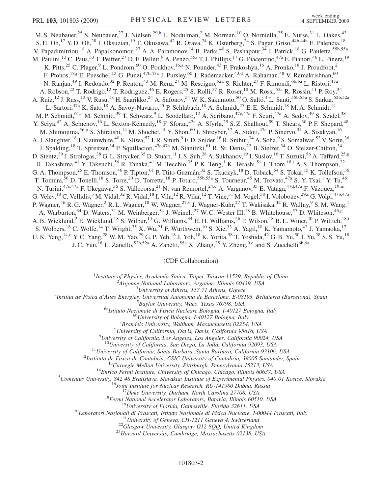<span id="page-4-8"></span><span id="page-4-6"></span><span id="page-4-4"></span><span id="page-4-0"></span>M. S. Neubauer,<sup>25</sup> S. Neubauer,<sup>27</sup> J. Nielsen,<sup>29,[h](#page-9-13)</sup> L. Nodulman,<sup>2</sup> M. Norman,<sup>10</sup> O. Norniella,<sup>25</sup> E. Nurse,<sup>31</sup> L. Oakes,<sup>43</sup> S. H. Oh,<sup>17</sup> Y. D. Oh,<sup>28</sup> I. Oksuzian,<sup>19</sup> T. Okusawa,<sup>42</sup> R. Orava,<sup>24</sup> K. Osterberg,<sup>24</sup> S. Pagan Griso,<sup>44b,44a</sup> E. Palencia,<sup>18</sup> V. Papadimitriou,<sup>18</sup> A. Papaikonomou,<sup>27</sup> A. A. Paramonov,<sup>14</sup> B. Parks,<sup>40</sup> S. Pashapour,<sup>34</sup> J. Patrick,<sup>18</sup> G. Pauletta,<sup>55b,55a</sup> M. Paulini,<sup>13</sup> C. Paus,<sup>33</sup> T. Peiffer,<sup>27</sup> D. E. Pellett,<sup>9</sup> A. Penzo,<sup>55a</sup> T. J. Phillips,<sup>17</sup> G. Piacentino,<sup>47a</sup> E. Pianori,<sup>46</sup> L. Pinera,<sup>19</sup> K. Pitts,<sup>25</sup> C. Plager,<sup>9</sup> L. Pondrom,<sup>60</sup> O. Poukhov,<sup>16[,a](#page-9-14)</sup> N. Pounder,<sup>43</sup> F. Prakoshyn,<sup>16</sup> A. Pronko,<sup>18</sup> J. Proudfoot,<sup>2</sup> F. Ptohos,<sup>18,[j](#page-9-15)</sup> E. Pueschel,<sup>13</sup> G. Punzi,<sup>47b,47a</sup> J. Pursley,<sup>60</sup> J. Ra[d](#page-9-6)emacker,<sup>43,d</sup> A. Rahaman,<sup>48</sup> V. Ramakrishnan,<sup>60</sup> N. Ranjan,<sup>49</sup> I. Redondo,<sup>32</sup> P. Renton,<sup>43</sup> M. Renz,<sup>27</sup> M. Rescigno,<sup>52a</sup> S. Richter,<sup>27</sup> F. Rimondi,<sup>6b,6a</sup> L. Ristori,<sup>47a</sup> A. Robson,<sup>22</sup> T. Rodrigo,<sup>12</sup> T. Rodriguez,<sup>46</sup> E. Rogers,<sup>25</sup> S. Rolli,<sup>57</sup> R. Roser,<sup>18</sup> M. Rossi,<sup>55a</sup> R. Rossin,<sup>11</sup> P. Roy,<sup>34</sup> A. Ruiz,<sup>12</sup> J. Russ,<sup>13</sup> V. Rusu,<sup>18</sup> H. Saarikko,<sup>24</sup> A. Safonov,<sup>54</sup> W. K. Sakumoto,<sup>50</sup> O. Saltó,<sup>4</sup> L. Santi,<sup>55b,55a</sup> S. Sarkar,<sup>52b,52a</sup> L. Sartori,<sup>47a</sup> K. Sato,<sup>18</sup> A. Savoy-Navarro,<sup>45</sup> P. Schlabach,<sup>18</sup> A. Schmidt,<sup>27</sup> E. E. Schmidt,<sup>18</sup> M. A. Schmidt,<sup>14</sup> M. P. Schmidt,<sup>61,[a](#page-9-14)</sup> M. Schmitt,<sup>39</sup> T. Schwarz,<sup>9</sup> L. Scodellaro,<sup>12</sup> A. Scribano,<sup>47c,47a</sup> F. Scuri,<sup>47a</sup> A. Sedov,<sup>49</sup> S. Seidel,<sup>38</sup> Y. Seiya,<sup>42</sup> A. Semenov,<sup>16</sup> L. Sexton-Kennedy,<sup>18</sup> F. Sforza,<sup>47a</sup> A. Sfyrla,<sup>25</sup> S. Z. Shalhout,<sup>59</sup> T. Shears,<sup>30</sup> P. F. Shepard,<sup>48</sup> M. Shimojima,<sup>56[,p](#page-9-16)</sup> S. Shiraishi,<sup>14</sup> M. Shochet,<sup>14</sup> Y. Shon,<sup>60</sup> I. Shreyber,<sup>37</sup> A. Sidoti,<sup>47a</sup> P. Sinervo,<sup>34</sup> A. Sisakyan,<sup>16</sup> A. J. Slaughter,<sup>18</sup> J. Slaunwhite,<sup>40</sup> K. Sliwa,<sup>57</sup> J. R. Smith,<sup>9</sup> F. D. Snider,<sup>18</sup> R. Snihur,<sup>34</sup> A. Soha,<sup>9</sup> S. Somalwar,<sup>53</sup> V. Sorin,<sup>36</sup> J. Spalding,<sup>18</sup> T. Spreitzer,<sup>34</sup> P. Squillacioti,<sup>47c,47a</sup> M. Stanitzki,<sup>61</sup> R. St. Denis,<sup>22</sup> B. Stelzer,<sup>34</sup> O. Stelzer-Chilton,<sup>34</sup> D. Stentz,<sup>39</sup> J. Strologas,<sup>38</sup> G. L. Strycker,<sup>35</sup> D. Stuart,<sup>11</sup> J. S. Suh,<sup>28</sup> A. Sukhanov,<sup>19</sup> I. Suslov,<sup>16</sup> T. Suzuki,<sup>56</sup> A. Taffard,<sup>25[,g](#page-9-17)</sup> R. Takashima,<sup>41</sup> Y. Takeuchi,<sup>56</sup> R. Tanaka,<sup>41</sup> M. Tecchio,<sup>35</sup> P.K. Teng,<sup>1</sup> K. Terashi,<sup>51</sup> J. Thom,<sup>18[,i](#page-9-18)</sup> A. S. Thompson,<sup>22</sup> G. A. Thompson,<sup>25</sup> E. Thomson,<sup>46</sup> P. Tipton,<sup>61</sup> P. Ttito-Guzmán,<sup>32</sup> S. Tkaczyk,<sup>18</sup> D. Toback,<sup>54</sup> S. Tokar,<sup>15</sup> K. Tollefson,<sup>36</sup> T. Tomura,<sup>56</sup> D. Tonelli,<sup>18</sup> S. Torre,<sup>20</sup> D. Torretta,<sup>18</sup> P. Totaro,<sup>55b,55a</sup> S. Tourneur,<sup>45</sup> M. Trovato,<sup>47a</sup> S.-Y. Tsai,<sup>1</sup> Y. Tu,<sup>46</sup> N. Turini,<sup>47[c](#page-9-19),47a</sup> F. Ukegawa,<sup>56</sup> S. Vallecorsa,<sup>21</sup> N. van Remortel,<sup>24,c</sup> A. Varganov,<sup>35</sup> E. Vataga,<sup>47d,47a</sup> F. Vázquez,<sup>19[,m](#page-9-4)</sup> G. Velev, <sup>18</sup> C. Vellidis, <sup>3</sup> M. Vidal, <sup>32</sup> R. Vidal, <sup>18</sup> I. Vila, <sup>12</sup> R. Vilar, <sup>12</sup> T. Vine, <sup>31</sup> M. Vogel, <sup>38</sup> I. Volobouev, <sup>29[,s](#page-9-8)</sup> G. Volpi, <sup>47b, 47a</sup> P. Wagner,<sup>46</sup> R. G. Wagner,<sup>2</sup> R. L. Wagner,<sup>18</sup> W. Wagner,<sup>27[,v](#page-9-20)</sup> J. Wagner-Kuhr,<sup>27</sup> T. Wakisaka,<sup>42</sup> R. Wallny,<sup>9</sup> S. M. Wang,<sup>1</sup> A. Warburton,<sup>34</sup> D. Waters,<sup>31</sup> M. Weinber[g](#page-9-17)er,<sup>54</sup> J. Weinelt,<sup>27</sup> W. C. Wester III,<sup>18</sup> B. Whitehouse,<sup>57</sup> D. Whiteson,<sup>46,g</sup> A. B. W[i](#page-9-18)cklund,<sup>2</sup> E. Wicklund,<sup>18</sup> S. Wilbur,<sup>14</sup> G. Williams,<sup>34</sup> H. H. Williams,<sup>46</sup> P. Wilson,<sup>18</sup> B. L. Winer,<sup>40</sup> P. Wittich,<sup>18,i</sup> S. Wolbers,<sup>18</sup> C. Wolfe,<sup>14</sup> T. Wright,<sup>35</sup> X. Wu,<sup>21</sup> F. Würthwein,<sup>10</sup> S. Xie,<sup>33</sup> A. Yagil,<sup>10</sup> K. Yamamoto,<sup>42</sup> J. Yamaoka,<sup>17</sup> U. K. Yang, <sup>14,[o](#page-9-21)</sup> Y. C. Yang, <sup>28</sup> W. M. Yao, <sup>29</sup> G. P. Yeh, <sup>18</sup> J. Yoh, <sup>18</sup> K. Yorita, <sup>58</sup> T. Yoshida, <sup>42</sup> G. B. Yu, <sup>50</sup> I. Yu, <sup>28</sup> S. S. Yu, <sup>18</sup>

<span id="page-4-9"></span><span id="page-4-7"></span><span id="page-4-5"></span><span id="page-4-3"></span><span id="page-4-2"></span><span id="page-4-1"></span>J. C. Yun,<sup>18</sup> L. Zan[e](#page-9-22)llo,<sup>52b,52a</sup> A. Zanetti,<sup>55a</sup> X. Zhang,<sup>25</sup> Y. Zheng,<sup>9,e</sup> and S. Zucchelli<sup>6b,6a</sup>

#### (CDF Collaboration)

<sup>1</sup>Institute of Physics, Academia Sinica, Taipei, Taiwan 11529, Republic of China<br><sup>2</sup>Argonna National Laboratory, Argonna Illinois 60430, USA

<sup>2</sup>Argonne National Laboratory, Argonne, Illinois 60439, USA<br><sup>3</sup>University of Athens, 157 71 Athens, Greece

<sup>5</sup> University of Athens, 157 71 Athens, Greece  $\frac{3}{4}$  University of Athens, 157 71 Athens, Greece

Institut de Fisica d'Altes Energies, Universitat Autonoma de Barcelona, E-08193, Bellaterra (Barcelona), Spain <sup>5</sup>

<sup>5</sup>Baylor University, Waco, Texas 76798, USA<br><sup>6a</sup>Istituto Nazionale di Fisica Nucleare Bologna, I-40127 Bologna, Italy<br><sup>6b</sup>University of Bologna, I-40127 Bologna, Italy

 ${}^{7}$ Brandeis University, Waltham, Massachusetts 02254, USA

 $^{9}$ University of California, Davis, Davis, California 95616, USA

 $^{9}$ University of California, Los Angeles, Los Angeles, California 90024, USA

 $\begin{array}{r} \text{^{10}University of California, San Diego, La Jolla, California 92093, USA} \\ \text{^{11}University of California, Santa Barbara, Santa Barbara, California 93106, USA} \\ \text{^{12}Instituto de Fisica de Cantabria, CStC-University of Cantabria, 39005 Samadera, 13213, USA} \\ \text{^{13}Carnegie Melon University, Pittshurgh, Pennsylvania 15213, USA} \\ \text{^{14}Enrico Fermi Institute, University of Chicago, Chicago, Illinois 60637, USA} \\ \text{^{15}Join Institute for Nuclear Research, RU-141980 Dubna, Russia} \\ \text{^{16}Join Institute for Nuclear Research, RU-1419$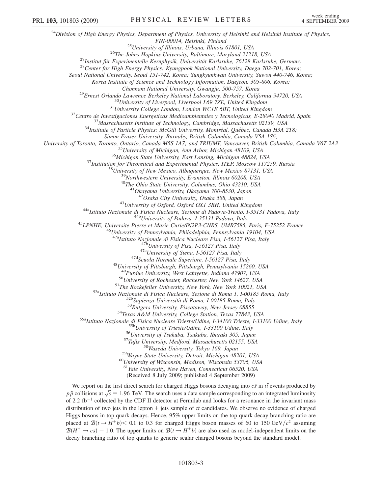$^{24}$ Division of High Energy Physics, Department of Physics, University of Helsinki and Helsinki Institute of Physics, FIN-00014, Helsinki, Finland<br><sup>25</sup>University of Illinois, Urbana, Illinois 61801, USA<br><sup>26</sup>The Johns Hopkins University, Baltimore, Maryland 21218, USA<br><sup>27</sup>Institut für Experimentelle Kernphysik, Universität Karlsruhe, 76128 Seoul National University, Seoul 151-742, Korea; Sungkyunkwan University, Suwon 440-746, Korea; Korea Institute of Science and Technology Information, Daejeon, 305-806, Korea; <sup>29</sup>Ernest Orlando Lawrence Berkeley National Laboratory, Berkeley, California 94720, USA<br><sup>30</sup>University of Liverpool, Liverpool L69 7ZE, United Kingdom<br><sup>31</sup>University College London, London WCIE 6BT, United Kingdom<br><sup>32</sup>C Simon Fraser University, Burnaby, British Columbia, Canada V5A 1S6; University of Toronto, Toronto, Ontario, Canada M5S 1A7; and TRIUMF, Vancouver, British Columbia, Canada V6T 2A3<br><sup>35</sup>University of Michigan, Ann Arbor, Michigan 48109, USA<br><sup>36</sup>Michigan State University, East Lansing, Michi <sup>43</sup>University of Oxford, Oxford OX1 3RH, United Kingdom<br><sup>44a</sup>Istituto Nazionale di Fisica Nucleare, Sezione di Padova-Trento, I-35131 Padova, Italy<br><sup>44b</sup>University of Padova, I-35131 Padova, Italy<br><sup>45</sup>LPNHE, Universite P <sup>47a</sup>Istituto Nazionale di Fisica Nucleare Pisa, I-56127 Pisa, Italy<br><sup>47b</sup>University of Pisa, I-56127 Pisa, Italy<br><sup>47c</sup>University of Siena, I-56127 Pisa, Italy<br><sup>47d</sup>Scuola Normale Superiore, I-56127 Pisa, Italy<br><sup>48</sup>Univer <sup>49</sup>Purdue University, West Lafayette, Indiana 47907, USA<br><sup>50</sup>University of Rochester, Rochester, New York 14627, USA<br><sup>51</sup>The Rockefeller University, New York, New York 10021, USA<br><sup>51</sup>The Rockefeller University, New York, <sup>61</sup>Yale University, New Haven, Connecticut 06520, USA (Received 8 July 2009; published 4 September 2009) We report on the first direct search for charged Higgs bosons decaying into  $c\bar{s}$  in  $t\bar{t}$  events produced by<br>is collisions at  $\sqrt{a} = 1.06$  TeV. The search uses a data semple corresponding to an integrated luminosit

 $p\bar{p}$  collisions at  $\sqrt{s} = 1.96$  TeV. The search uses a data sample corresponding to an integrated luminosity<br>of 2.2 fb<sup>-1</sup> collected by the CDE II detector at Fermilab and looks for a resonance in the invariant mass of 2.2 fb<sup>-1</sup> collected by the CDF II detector at Fermilab and looks for a resonance in the invariant mass distribution of two jets in the lepton  $+$  jets sample of  $t\bar{t}$  candidates. We observe no evidence of charged  $\overline{B}$ Higgs bosons in top quark decays. Hence, 95% upper limits on the top quark decay branching ratio are placed at  $\mathcal{B}(t \rightarrow H^+b)$  < 0.1 to 0.3 for charged Higgs boson masses of 60 to 150 GeV/ $c^2$  assuming  $\mathcal{B}(H^+ \to c\bar{s}) = 1.0$ . The upper limits on  $\mathcal{B}(t \to H^+ b)$  are also used as model-independent limits on the decay branching ratio of top quarks to generic scalar charged bosons beyond the standard model.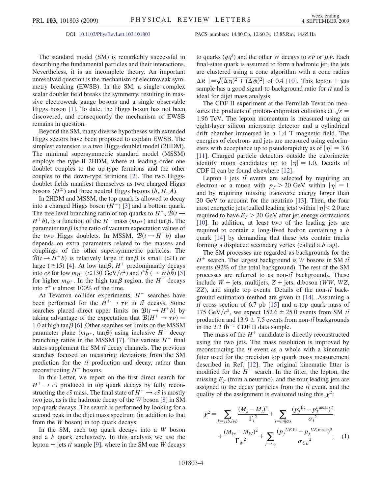DOI: [10.1103/PhysRevLett.103.101803](http://dx.doi.org/10.1103/PhysRevLett.103.101803) PACS numbers: 14.80.Cp, 12.60.Jv, 13.85.Rm, 14.65.Ha

The standard model (SM) is remarkably successful in describing the fundamental particles and their interactions. Nevertheless, it is an incomplete theory. An important unresolved question is the mechanism of electroweak symmetry breaking (EWSB). In the SM, a single complex scalar doublet field breaks the symmetry, resulting in massive electroweak gauge bosons and a single observable Higgs boson [\[1](#page-9-23)]. To date, the Higgs boson has not been discovered, and consequently the mechanism of EWSB remains in question.

Beyond the SM, many diverse hypotheses with extended Higgs sectors have been proposed to explain EWSB. The simplest extension is a two Higgs-doublet model (2HDM). The minimal supersymmetric standard model (MSSM) employs the type-II 2HDM, where at leading order one doublet couples to the up-type fermions and the other couples to the down-type fermions [\[2](#page-9-24)]. The two Higgsdoublet fields manifest themselves as two charged Higgs bosons  $(H^{\pm})$  and three neutral Higgs bosons  $(h, H, A)$ .

In 2HDM and MSSM, the top quark is allowed to decay into a charged Higgs boson  $(H^+)$  [[3](#page-9-25)] and a bottom quark. The tree level branching ratio of top quarks to  $H^+$ ,  $\mathcal{B}(t \rightarrow$  $H^+b$ , is a function of the  $H^+$  mass  $(m_{H^+})$  and tan $\beta$ . The parameter tan $\beta$  is the ratio of vacuum expectation values of the two Higgs doublets. In MSSM,  $\mathcal{B}(t \rightarrow H^+b)$  also depends on extra parameters related to the masses and couplings of the other supersymmetric particles. The  $\mathcal{B}(t \rightarrow H^+b)$  is relatively large if tan $\beta$  is small ( $\leq 1$ ) or large ( $\approx$ 15) [\[4\]](#page-9-26). At low tan $\beta$ ,  $H^+$  predominantly decays into  $c\bar{s}$  for low  $m_{H^+} \approx 130 \text{ GeV}/c^2$  and  $t^*b \to Wb\bar{b}$  [\[5\]](#page-9-27)<br>for higher  $m_{H^+}$ . In the high  $\tan\beta$  region, the  $H^+$  decays for higher  $m_{H^+}$ . In the high tan $\beta$  region, the  $H^+$  decays into  $\tau^+ \nu$  almost 100% of the time.

At Tevatron collider experiments,  $H^+$  searches have been performed for the  $\hat{H}^+ \to \tau \bar{\nu}$  in  $t\bar{t}$  decays. Some searches placed direct upper limits on  $\mathcal{R}(t \to H^+ h)$  by searches placed direct upper limits on  $\mathcal{B}(t \rightarrow H^+b)$  by taking advantage of the expectation that  $\mathcal{B}(H^+ \to \tau \bar{\nu}) =$ <br>1.0 at high tan  $\beta$  [6]. Other searches set limits on the MSSM 1.0 at high tan $\beta$  [\[6](#page-9-28)]. Other searches set limits on the MSSM parameter plane  $(m_{H^+}, \tan\beta)$  using inclusive  $H^+$  decay branching ratios in the MSSM [\[7\]](#page-9-29). The various  $H^+$  final states supplement the SM  $t\bar{t}$  decay channels. The previous searches focused on measuring deviations from the SM searches focused on measuring deviations from the SM prediction for the  $t\bar{t}$  production and decay, rather than<br>reconstructing  $H^+$  bosons reconstructing  $H^+$  bosons.

In this Letter, we report on the first direct search for  $H^+ \rightarrow c\bar{s}$  produced in top quark decays by fully reconstructing the  $c\bar{s}$  mass. The final state of  $H^+ \to c\bar{s}$  is mostly two jets, as is the hadronic decay of the W boson [\[8\]](#page-9-30) in SM top quark decays. The search is performed by looking for a second peak in the dijet mass spectrum (in addition to that from the W boson) in top quark decays.

In the SM, each top quark decays into a  $W$  boson and a b quark exclusively. In this analysis we use the lepton + jets  $t\bar{t}$  sample [[9\]](#page-9-31), where in the SM one W decays

to quarks  $(q\bar{q}')$  and the other W decays to  $e\bar{\nu}$  or  $\mu\bar{\nu}$ . Each final-state quark is assumed to form a hadronic jet: the jets final-state quark is assumed to form a hadronic jet; the jets are clustered using a cone algorithm with a cone radius  $\Delta R$  [= $\sqrt{\Delta \eta}$  +  $(\Delta \phi)^2$ ] of 0.4 [10]. This lepton + jets<br>sample has a good signal-to-background ratio for  $t\bar{t}$  and is  $R \; [=\sqrt{\left(\Delta \eta\right)^2 + \left(\Delta \phi\right)^2}]$  of 0.4 [\[10\]](#page-9-32). This lepton + jets ideal for dijet mass analysis.

The CDF II experiment at the Fermilab Tevatron measures the products of proton-antiproton collisions at  $\sqrt{s}$ 1:96 TeV. The lepton momentum is measured using an eight-layer silicon microstrip detector and a cylindrical drift chamber immersed in a 1.4 T magnetic field. The energies of electrons and jets are measured using calorimeters with acceptance up to pseudorapidity as of  $|\eta| = 3.6$ [\[11\]](#page-9-33). Charged particle detectors outside the calorimeter identify muon candidates up to  $|\eta| = 1.0$ . Details of CDF II can be found elsewhere [\[12\]](#page-9-34).

Lepton + jets  $t\bar{t}$  events are selected by requiring an extra or a muon with  $n > 20$  GeV within  $|n| = 1$ electron or a muon with  $p_T > 20$  GeV within  $|\eta| = 1$ and by requiring missing transverse energy larger than 20 GeV to account for the neutrino [\[13\]](#page-9-35). Then, the four most energetic jets (called leading jets) within  $|\eta|$  < 2.0 are required to have  $E_T > 20$  GeV after jet energy corrections [\[10\]](#page-9-32). In addition, at least two of the leading jets are required to contain a long-lived hadron containing a b quark [\[14\]](#page-9-36) by demanding that these jets contain tracks forming a displaced secondary vertex (called a b tag).

The SM processes are regarded as backgrounds for the  $H^+$  search. The largest background is W bosons in SM  $t\bar{t}$ events (92% of the total background). The rest of the SM processes are referred to as non-therefore backgrounds. These include  $W + \text{i}$  at multijate  $Z + \text{i}$  at discons (WW, WZ) include  $W$  + jets, multijets,  $Z$  + jets, diboson (WW, WZ, ZZ), and single top events. Details of the non- $t\bar{t}$  back-<br>ground estimation method are given in [14]. Assuming a ground estimation method are given in [\[14\]](#page-9-36). Assuming a *tt* cross section of 6.7 pb [[15](#page-9-37)] and a top quark mass of  $175 \text{ GeV}/c^2$ , we expect  $152.6 \pm 25.0$  events from SM *tt* 175 GeV/c<sup>2</sup>, we expect  $152.6 \pm 25.0$  events from SM the production and  $13.9 \pm 7.5$  events from non-the backgrounds production and  $13.9 \pm 7.5$  events from non-the backgrounds<br>in the 2.2 fb<sup>-1</sup> CDF II data sample in the 2.2  $fb^{-1}$  CDF II data sample.

The mass of the  $H^+$  candidate is directly reconstructed using the two jets. The mass resolution is improved by reconstructing the  $t\bar{t}$  event as a whole with a kinematic<br>fitter used for the precision top quark mass measurement fitter used for the precision top quark mass measurement described in Ref. [\[12\]](#page-9-34). The original kinematic fitter is modified for the  $H^+$  search. In the fitter, the lepton, the missing  $E_T$  (from a neutrino), and the four leading jets are assigned to the decay particles from the  $t\bar{t}$  event, and the quality of the assignment is evaluated using this  $x^2$ . quality of the assignment is evaluated using this  $\chi^2$ :

$$
\chi^{2} = \sum_{k=jjb, l\nu b} \frac{(M_{k} - M_{l})^{2}}{\Gamma_{l}^{2}} + \sum_{i=l, 4 \text{ jets}} \frac{(p_{T}^{i, \text{fit}} - p_{T}^{i, \text{meas}})^{2}}{\sigma_{i}^{2}} + \frac{(M_{l\nu} - M_{W})^{2}}{\Gamma_{W}^{2}} + \sum_{j=x,y} \frac{(p_{j}^{UE, \text{fit}} - p_{j}^{UE, \text{meas}})^{2}}{\sigma_{UE}^{2}}.
$$
 (1)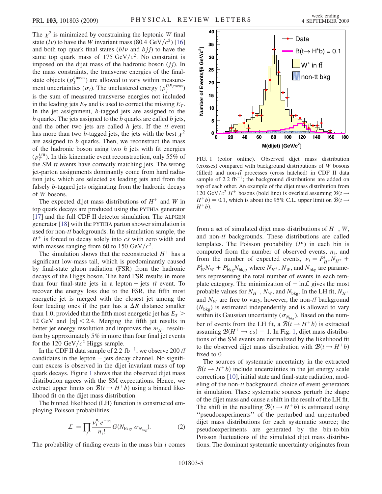The  $\chi^2$  is minimized by constraining the leptonic W final state  $(l\nu)$  to have the W invariant mass (80.4 GeV/ $c^2$ ) [\[16\]](#page-9-38) and both top quark final states  $(bl\nu$  and  $bjj$  to have the same top quark mass of 175 GeV/ $c^2$ . No constraint is imposed on the dijet mass of the hadronic boson  $(jj)$ . In the mass constraints, the transverse energies of the finalstate objects  $(p_T^{\text{i,meas}})$  are allowed to vary within measurement uncertainties ( $\sigma_i$ ). The unclustered energy ( $p_i^{UE,meas}$ ) is the sum of measured transverse energies not included in the leading jets  $E_T$  and is used to correct the missing  $E_T$ . In the jet assignment, b-tagged jets are assigned to the  $b$  quarks. The jets assigned to the  $b$  quarks are called  $b$  jets, and the other two jets are called h jets. If the  $t\bar{t}$  event<br>has more than two h-tagged jets, the jets with the hest  $y^2$ has more than two b-tagged jets, the jets with the best  $\chi^2$ are assigned to b quarks. Then, we reconstruct the mass of the hadronic boson using two  $h$  jets with fit energies  $(p_T^{i, \text{fit}})$ . In this kinematic event reconstruction, only 55% of the SM *tt* events have correctly matching jets. The wrong<br>ist parton assignments dominantly come from hard radio jet-parton assignments dominantly come from hard radiation jets, which are selected as leading jets and from the falsely b-tagged jets originating from the hadronic decays of W bosons.

The expected dijet mass distributions of  $H^+$  and W in top quark decays are produced using the PYTHIA generator [\[17\]](#page-9-39) and the full CDF II detector simulation. The ALPGEN generator [\[18\]](#page-9-40) with the PYTHIA parton shower simulation is used for non-the backgrounds. In the simulation sample, the  $H^+$  is forced to decay solely into  $c\bar{e}$  with zero width and  $H^+$  is forced to decay solely into  $c\bar{s}$  with zero width and with masses ranging from 60 to 150 GeV/ $c^2$ .

The simulation shows that the reconstructed  $H^+$  has a significant low-mass tail, which is predominantly caused by final-state gluon radiation (FSR) from the hadronic decays of the Higgs boson. The hard FSR results in more than four final-state jets in a lepton + jets  $t\bar{t}$  event. To recover the energy loss due to the ESP, the fifth most recover the energy loss due to the FSR, the fifth most energetic jet is merged with the closest jet among the four leading ones if the pair has a  $\Delta R$  distance smaller<br>than 1.0 provided that the fifth most energetic jet has  $F_r >$ than 1.0, provided that the fifth most energetic jet has  $E_T$  > 12 GeV and  $|\eta|$  < 2.4. Merging the fifth jet results in better jet energy resolution and improves the  $m_{H^+}$  resolution by approximately 5% in more than four final jet events for the 120 GeV/ $c^2$  Higgs sample.

In the CDF II data sample of 2.2 fb<sup>-1</sup>, we observe 200  $t\bar{t}$ candidates in the lepton  $+$  jets decay channel. No significant excess is observed in the dijet invariant mass of top quark decays. Figure [1](#page-7-0) shows that the observed dijet mass distribution agrees with the SM expectations. Hence, we extract upper limits on  $\mathcal{B}(t \rightarrow H^+b)$  using a binned likelihood fit on the dijet mass distribution.

The binned likelihood (LH) function is constructed employing Poisson probabilities:

$$
\mathcal{L} = \prod_{i} \frac{\nu_i^{n_i} e^{-\nu_i}}{n_i!} G(N_{\text{bkg}}, \sigma_{N_{\text{bkg}}}). \tag{2}
$$

The probability of finding events in the mass bin  $i$  comes

<span id="page-7-0"></span>

FIG. 1 (color online). Observed dijet mass distribution (crosses) compared with background distributions of W bosons (filled) and non-t $\bar{t}$  processes (cross hatched) in CDF II data<br>sample of 2.2 fb<sup>-1</sup>; the beckground distributions are added on sample of 2.2 fb<sup>-1</sup>; the background distributions are added on top of each other. An example of the dijet mass distribution from 120 GeV/ $c^2$  H<sup>+</sup> bosons (bold line) is overlaid assuming  $\mathcal{B}(t \rightarrow$  $H^+b$  = 0.1, which is about the 95% C.L. upper limit on  $\mathcal{B}(t \rightarrow$  $H^+b$ ).

from a set of simulated dijet mass distributions of  $H^+$ , W, and non-tthe backgrounds. These distributions are called<br>tamplates. The Poisson probability  $(P^i)$  in each bin is templates. The Poisson probability  $(P<sup>i</sup>)$  in each bin is computed from the number of observed events,  $n_i$ , and from the number of expected events,  $v_i = P_{H^+}^i N_{H^+}$  +  $P_W^i N_W + P_{bkg}^i N_{bkg}$ , where  $N_{H^+}$ ,  $N_W$ , and  $N_{bkg}$  are parameters representing the total number of events in each template category. The minimization of  $-\ln\mathcal{L}$  gives the most probable values for  $N_{H^+}$ ,  $N_W$ , and  $N_{bkg}$ . In the LH fit,  $N_{H^+}$ and  $N_W$  are free to vary, however, the non-theorem background  $(N_{\text{c}})$  is estimated independently and is allowed to vary  $(N_{\text{bkg}})$  is estimated independently and is allowed to vary within its Gaussian uncertainty  $(\sigma_{N_{\text{bkg}}})$ . Based on the number of events from the LH fit, a  $\mathcal{B}(t \rightarrow H^+b)$  is extracted assuming  $\mathcal{B}(H^+ \to c\bar{s}) = 1$  $\mathcal{B}(H^+ \to c\bar{s}) = 1$ . In Fig. 1, dijet mass distributions of the SM events are normalized by the likelihood fit to the observed dijet mass distribution with  $\mathcal{B}(t \rightarrow H^+b)$ fixed to 0.

The sources of systematic uncertainty in the extracted  $\mathcal{B}(t \rightarrow H^+b)$  include uncertainties in the jet energy scale corrections [\[10\]](#page-9-32), initial state and final-state radiation, modeling of the non- $t\bar{t}$  background, choice of event generators<br>in simulation. These systematic sources perturb the shape in simulation. These systematic sources perturb the shape of the dijet mass and cause a shift in the result of the LH fit. The shift in the resulting  $\mathcal{B}(t \rightarrow H^+ b)$  is estimated using ''pseudoexperiments'' of the perturbed and unperturbed dijet mass distributions for each systematic source; the pseudoexperiments are generated by the bin-to-bin Poisson fluctuations of the simulated dijet mass distributions. The dominant systematic uncertainty originates from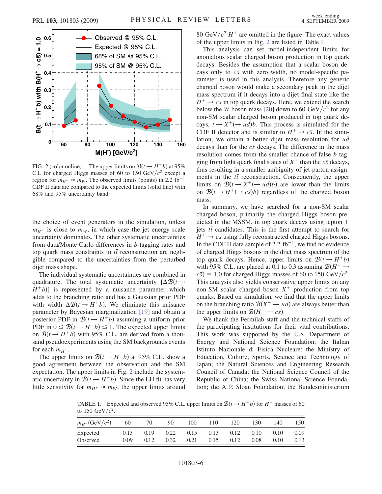<span id="page-8-0"></span>

FIG. 2 (color online). The upper limits on  $\mathcal{B}(t \rightarrow H^+b)$  at 95% C.L for charged Higgs masses of 60 to 150  $GeV/c^2$  except a region for  $m_{H^+} \approx m_W$ . The observed limits (points) in 2.2 fb<sup>-1</sup> CDF II data are compared to the expected limits (solid line) with 68% and 95% uncertainty band.

the choice of event generators in the simulation, unless  $m_{H^+}$  is close to  $m_W$ , in which case the jet energy scale uncertainty dominates. The other systematic uncertainties from data/Monte Carlo differences in b-tagging rates and top quark mass constraints in  $t\bar{t}$  reconstruction are negli-<br>with compared to the uncertainties from the perturbed gible compared to the uncertainties from the perturbed dijet mass shape.

The individual systematic uncertainties are combined in quadrature. The total systematic uncertainty  $[\Delta \mathcal{B}(t \rightarrow H^+ h)]$  is represented by a nuisance parameter which  $H^{\dagger}b$ ) is represented by a nuisance parameter which adds to the branching ratio and has a Gaussian prior PDF with width  $\Delta \mathcal{B}(t \rightarrow H^+ b)$ . We eliminate this nuisance<br>parameter by Bayesian marginalization [19] and obtain a parameter by Bayesian marginalization [\[19\]](#page-9-41) and obtain a posterior PDF in  $\mathcal{B}(t \to H^+ b)$  assuming a uniform prior PDF in  $0 \leq \mathcal{B}(t \rightarrow H^+ b) \leq 1$ . The expected upper limits on  $\mathcal{B}(t \rightarrow H^+b)$  with 95% C.L. are derived from a thousand pseudoexperiments using the SM backgrounds events for each  $m_{H^+}$ .

The upper limits on  $\mathcal{B}(t \rightarrow H^+b)$  at 95% C.L. show a good agreement between the observation and the SM expectation. The upper limits in Fig. [2](#page-8-0) include the systematic uncertainty in  $\mathcal{B}(t \rightarrow H^+b)$ . Since the LH fit has very little sensitivity for  $m_{H^+} \approx m_W$ , the upper limits around 80 GeV/ $c^2$  H<sup>+</sup> are omitted in the figure. The exact values of the upper limits in Fig. [2](#page-8-0) are listed in Table [I](#page-8-1).

This analysis can set model-independent limits for anomalous scalar charged boson production in top quark decays. Besides the assumption that a scalar boson decays only to  $c\bar{s}$  with zero width, no model-specific parameter is used in this analysis. Therefore any generic charged boson would make a secondary peak in the dijet mass spectrum if it decays into a dijet final state like the  $H^+ \rightarrow c\bar{s}$  in top quark decays. Here, we extend the search below the W boson mass [[20](#page-9-42)] down to 60 GeV/ $c^2$  for any non-SM scalar charged boson produced in top quark decays,  $t \rightarrow X^+ (\rightarrow u \bar{d}) b$ . This process is simulated for the CDF II detector and is similar to  $H^+ \rightarrow c\bar{s}$ . In the simulation, we obtain a better dijet mass resolution for ud decays than for the  $c\bar{s}$  decays. The difference in the mass resolution comes from the smaller chance of false *b* tagging from light quark final states of  $X^+$  than the  $c\bar{s}$  decays, thus resulting in a smaller ambiguity of jet-parton assignments in the  $t\bar{t}$  reconstruction. Consequently, the upper<br>limits on  $R(t \rightarrow Y^+(\rightarrow u\bar{d})b)$  are lower than the limits limits on  $\mathcal{B}(t \to X^+ \rightarrow u\bar{d})b)$  are lower than the limits on  $\mathcal{B}(t \to H^+(\to c\bar{s})b)$  regardless of the charged boson mass.

In summary, we have searched for a non-SM scalar charged boson, primarily the charged Higgs boson predicted in the MSSM, in top quark decays using lepton  $+$ jets  $t\bar{t}$  candidates. This is the first attempt to search for  $H^+ \rightarrow c\bar{s}$  using fully reconstructed charged Higgs because  $H^+ \rightarrow c\bar{s}$  using fully reconstructed charged Higgs bosons. In the CDF II data sample of 2.2  $fb^{-1}$ , we find no evidence of charged Higgs bosons in the dijet mass spectrum of the top quark decays. Hence, upper limits on  $\mathcal{B}(t \rightarrow H^+b)$ with 95% C.L. are placed at 0.1 to 0.3 assuming  $\mathcal{B}(H^+ \rightarrow$  $c\bar{s}$ ) = 1.0 for charged Higgs masses of 60 to 150 GeV/ $c^2$ . This analysis also yields conservative upper limits on any non-SM scalar charged boson  $X^+$  production from top quarks. Based on simulation, we find that the upper limits on the branching ratio  $\mathcal{B}(X^+ \to u\bar{d})$  are always better than the upper limits on  $\mathcal{B}(H^+ \to c\bar{s})$ .

We thank the Fermilab staff and the technical staffs of the participating institutions for their vital contributions. This work was supported by the U.S. Department of Energy and National Science Foundation; the Italian Istituto Nazionale di Fisica Nucleare; the Ministry of Education, Culture, Sports, Science and Technology of Japan; the Natural Sciences and Engineering Research Council of Canada; the National Science Council of the Republic of China; the Swiss National Science Foundation; the A. P. Sloan Foundation; the Bundesministerium

<span id="page-8-1"></span>TABLE I. Expected and observed 95% C.L. upper limits on  $\mathcal{B}(t \rightarrow H^+b)$  for  $H^+$  masses of 60 to 150 GeV/ $c^2$ .

| $m_{H^+}$ (GeV/ $c^2$ ) | 60   | 70   | 90   | 100  | 110  | 120  | 130  | 140  | 150  |
|-------------------------|------|------|------|------|------|------|------|------|------|
| Expected                | 0.13 | 0.19 | 0.22 | 0.15 | 0.13 | 0.12 | 0.10 | 0.10 | 0.09 |
| Observed                | 0.09 | 0.12 | 0.32 | 0.21 | 0.15 | 0.12 | 0.08 | 0.10 | 0.13 |